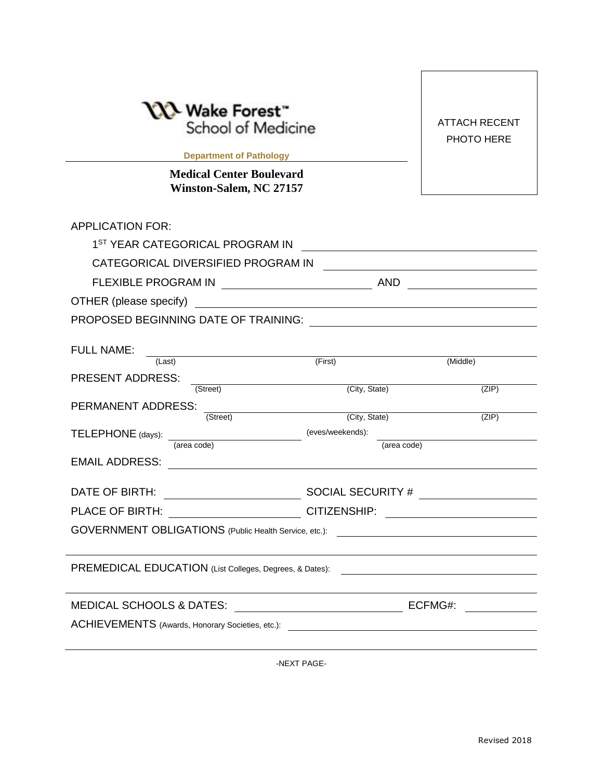| └ Wake Forest™<br>School of Medicine<br><b>Department of Pathology Exercise 2018</b><br><b>Medical Center Boulevard</b>                         |                                                                                                                       | <b>ATTACH RECENT</b><br>PHOTO HERE |
|-------------------------------------------------------------------------------------------------------------------------------------------------|-----------------------------------------------------------------------------------------------------------------------|------------------------------------|
| Winston-Salem, NC 27157                                                                                                                         |                                                                                                                       |                                    |
| <b>APPLICATION FOR:</b>                                                                                                                         |                                                                                                                       |                                    |
| 1 <sup>ST</sup> YEAR CATEGORICAL PROGRAM IN                                                                                                     |                                                                                                                       |                                    |
| CATEGORICAL DIVERSIFIED PROGRAM IN                                                                                                              |                                                                                                                       |                                    |
|                                                                                                                                                 |                                                                                                                       |                                    |
| OTHER (please specify)<br><u> 1989 - Johann Harry Harry Harry Harry Harry Harry Harry Harry Harry Harry Harry Harry Harry Harry Harry Harry</u> |                                                                                                                       |                                    |
|                                                                                                                                                 |                                                                                                                       |                                    |
|                                                                                                                                                 |                                                                                                                       |                                    |
| <b>FULL NAME:</b><br><u> 1989 - Johann Barn, mars eta bainar eta idazlea (</u><br>(Last)                                                        | (First)                                                                                                               | (Middle)                           |
| <b>PRESENT ADDRESS:</b>                                                                                                                         |                                                                                                                       |                                    |
| (Street)                                                                                                                                        | (City, State)                                                                                                         | (ZIP)                              |
| PERMANENT ADDRESS:<br><u> 1989 - Andrea Station Barbara, amerikan per</u><br>(Street)                                                           | (City, State)                                                                                                         | (ZIP)                              |
| TELEPHONE (days):                                                                                                                               | (eves/weekends):                                                                                                      |                                    |
| (area code)                                                                                                                                     | (area code)                                                                                                           |                                    |
| <b>EMAIL ADDRESS:</b>                                                                                                                           |                                                                                                                       |                                    |
| DATE OF BIRTH:                                                                                                                                  |                                                                                                                       |                                    |
| PLACE OF BIRTH: CITIZENSHIP:                                                                                                                    | <u> 1989 - John Stein, mars and de Brandenberg and de Brandenberg and de Brandenberg and de Brandenberg and de Br</u> |                                    |
| GOVERNMENT OBLIGATIONS (Public Health Service, etc.):                                                                                           |                                                                                                                       |                                    |
|                                                                                                                                                 |                                                                                                                       |                                    |
| PREMEDICAL EDUCATION (List Colleges, Degrees, & Dates):                                                                                         |                                                                                                                       |                                    |
|                                                                                                                                                 |                                                                                                                       |                                    |
| <b>MEDICAL SCHOOLS &amp; DATES:</b>                                                                                                             |                                                                                                                       | ECFMG#:                            |
| ACHIEVEMENTS (Awards, Honorary Societies, etc.):                                                                                                |                                                                                                                       |                                    |
|                                                                                                                                                 |                                                                                                                       |                                    |

-NEXT PAGE-